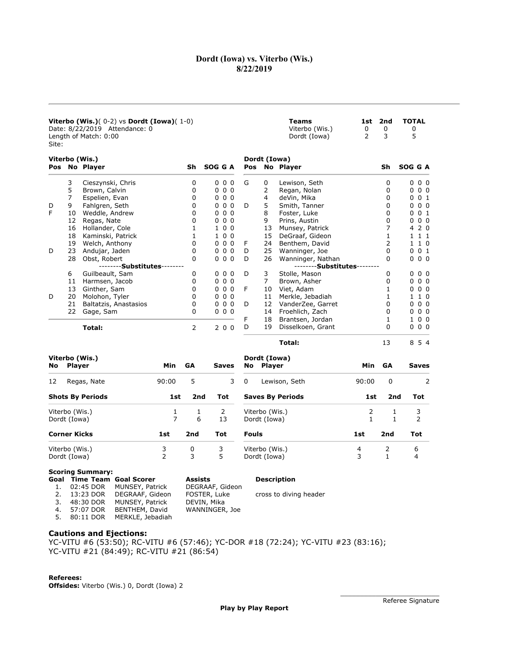## Dordt (Iowa) vs. Viterbo (Wis.) 8/22/2019

| <b>Viterbo (Wis.)</b> $(0-2)$ vs <b>Dordt (Iowa)</b> $(1-0)$<br>Date: 8/22/2019 Attendance: 0<br>Length of Match: 0:00<br>Site: |                                 |                             |       |                 |              |    |                               | <b>Teams</b><br>Viterbo (Wis.)<br>Dordt (Iowa) | 1st<br>0<br>$\overline{2}$ | 2nd<br>0<br>3   | <b>TOTAL</b><br>0<br>5         |
|---------------------------------------------------------------------------------------------------------------------------------|---------------------------------|-----------------------------|-------|-----------------|--------------|----|-------------------------------|------------------------------------------------|----------------------------|-----------------|--------------------------------|
| Viterbo (Wis.)<br>Dordt (Iowa)<br>SOG G A<br>No Player<br>Pos No Player<br>Sh<br>Pos                                            |                                 |                             |       |                 |              |    |                               |                                                |                            | Sh              | SOG G A                        |
|                                                                                                                                 | 3                               | Cieszynski, Chris           |       | 0               | 000          | G  | 0                             | Lewison, Seth                                  |                            | 0               | $0\quad 0\quad 0$              |
|                                                                                                                                 | 5                               | Brown, Calvin               |       | 0               | 000          |    | 2                             | Regan, Nolan                                   |                            | 0               | 0 <sub>0</sub><br>$\mathbf{0}$ |
|                                                                                                                                 | $\overline{7}$                  | Espelien, Evan              |       | 0               | 000          |    | 4                             | deVin, Mika                                    |                            | 0               | 0 <sub>1</sub><br>0            |
| D                                                                                                                               | 9                               | Fahlgren, Seth              |       | $\Omega$        | 000          | D  | 5                             | Smith, Tanner                                  |                            | 0               | 0 <sub>0</sub><br>0            |
| F                                                                                                                               | 10                              | Weddle, Andrew              |       | 0               | 000          |    | 8                             | Foster, Luke                                   |                            | 0               | 0 <sub>1</sub><br><sup>0</sup> |
|                                                                                                                                 | 12                              | Regas, Nate                 |       | 0               | 000          |    | 9                             | Prins, Austin                                  |                            | 0               | 0 <sub>0</sub><br>0            |
|                                                                                                                                 | 16                              | Hollander, Cole             |       | 1               | 100          |    | 13                            | Munsey, Patrick                                |                            | 7               | 2 <sub>0</sub><br>4            |
|                                                                                                                                 | 18                              | Kaminski, Patrick           |       | 1               | 100          |    | 15                            | DeGraaf, Gideon                                |                            | 1               | 1 1 1                          |
|                                                                                                                                 | 19                              | Welch, Anthony              |       | 0               | 000          | F  | 24                            | Benthem, David                                 |                            | 2               | 1 1 0                          |
| D                                                                                                                               | 23                              | Andujar, Jaden              |       | 0               | 000          | D  | 25                            | Wanninger, Joe                                 |                            | 0               | 0 <sub>1</sub><br>0            |
|                                                                                                                                 | 28                              | Obst, Robert                |       | 0               | 000          | D  | 26                            | Wanninger, Nathan                              |                            | 0               | $0\quad 0\quad 0$              |
|                                                                                                                                 |                                 | --------Substitutes-------- |       |                 |              |    |                               | --------Substitutes--------                    |                            |                 |                                |
|                                                                                                                                 | 6                               | Guilbeault, Sam             |       | 0               | 000          | D  | 3                             | Stolle, Mason                                  |                            | 0               | $0\quad0\quad0$                |
|                                                                                                                                 | 11                              | Harmsen, Jacob              |       | 0               | 000          |    | $\overline{7}$                | Brown, Asher                                   |                            | 0               | 0 <sub>0</sub><br>0            |
|                                                                                                                                 | 13                              | Ginther, Sam                |       | 0               | 000          | F  | 10                            | Viet, Adam                                     |                            | 1               | 0 <sub>0</sub><br>0            |
| D                                                                                                                               | 20                              | Molohon, Tyler              |       | 0               | 000          |    | 11                            | Merkle, Jebadiah                               |                            | 1               | 1 1 0                          |
|                                                                                                                                 | 21                              | Baltatzis, Anastasios       |       | 0               | 000          | D  | 12                            | VanderZee, Garret                              |                            | 0               | 0 <sub>0</sub><br>0            |
|                                                                                                                                 | 22                              | Gage, Sam                   |       | 0               | 000          |    | 14                            | Froehlich, Zach                                |                            | 0               | 0 <sub>0</sub><br>0            |
|                                                                                                                                 |                                 |                             |       |                 |              | F  | 18                            | Brantsen, Jordan                               |                            | 1               | 0 <sub>0</sub><br>$\mathbf{1}$ |
|                                                                                                                                 |                                 | Total:                      |       | 2               | 200          | D  | 19                            | Disselkoen, Grant                              |                            | 0               | 000                            |
|                                                                                                                                 |                                 |                             |       |                 |              |    |                               | Total:                                         |                            | 13              | 8 5 4                          |
| No                                                                                                                              | Viterbo (Wis.)<br><b>Player</b> |                             | Min   | <b>GA</b>       | <b>Saves</b> | No | Dordt (Iowa)<br><b>Player</b> |                                                | <b>Min</b>                 | <b>GA</b>       | <b>Saves</b>                   |
| 12                                                                                                                              |                                 | Regas, Nate                 | 90:00 | 5               | 3            | 0  |                               | Lewison, Seth                                  | 90:00                      | 0               | 2                              |
|                                                                                                                                 |                                 | <b>Shots By Periods</b>     | 1st   | 2 <sub>nd</sub> | <b>Tot</b>   |    |                               | <b>Saves By Periods</b>                        | 1st                        | 2 <sub>nd</sub> | <b>Tot</b>                     |

| <b>Shots By Periods</b> | 1st | 2nd | Tot | <b>Saves By Periods</b> | 1st | 2nd | Tot |
|-------------------------|-----|-----|-----|-------------------------|-----|-----|-----|
| Viterbo (Wis.)          |     |     |     | Viterbo (Wis.)          |     |     |     |
| Dordt (Iowa)            |     | 6   | 13  | Dordt (Iowa)            |     |     |     |
| <b>Corner Kicks</b>     | 1st | 2nd | Tot | <b>Fouls</b>            | 1st | 2nd | Tot |
| Viterbo (Wis.)          |     | 0   | 3   | Viterbo (Wis.)          |     |     | ь   |
| Dordt (Iowa)            |     | 3   | 5   | Dordt (Iowa)            |     |     | 4   |

# Scoring Summary:<br>Goal Time Team

| Goal Time Team Goal Scorer |                               | Assists         | <b>Description</b>     |
|----------------------------|-------------------------------|-----------------|------------------------|
|                            | 1. 02:45 DOR MUNSEY, Patrick  | DEGRAAF, Gideon |                        |
| 2. 13:23 DOR               | DEGRAAF, Gideon               | FOSTER, Luke    | cross to diving header |
| 3. 48:30 DOR               | MUNSEY, Patrick               | DEVIN, Mika     |                        |
| 4. 57:07 DOR               | BENTHEM, David                | WANNINGER, Joe  |                        |
|                            | 5. 80:11 DOR MERKLE, Jebadiah |                 |                        |
|                            |                               |                 |                        |

#### Cautions and Ejections:

YC-VITU #6 (53:50); RC-VITU #6 (57:46); YC-DOR #18 (72:24); YC-VITU #23 (83:16); YC-VITU #21 (84:49); RC-VITU #21 (86:54)

Referees: Offsides: Viterbo (Wis.) 0, Dordt (Iowa) 2

\_\_\_\_\_\_\_\_\_\_\_\_\_\_\_\_\_\_\_\_\_\_\_\_\_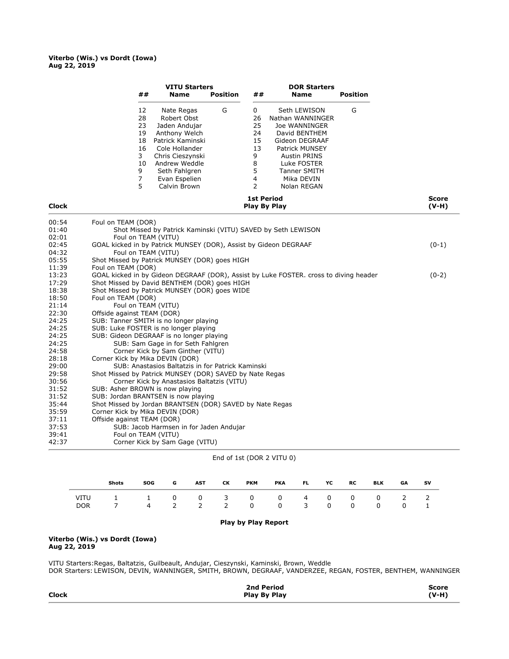#### Viterbo (Wis.) vs Dordt (Iowa) Aug 22, 2019

|                |                                 | <b>VITU Starters</b>                                             |                           |    | <b>DOR Starters</b>                                                                   |                 |                         |
|----------------|---------------------------------|------------------------------------------------------------------|---------------------------|----|---------------------------------------------------------------------------------------|-----------------|-------------------------|
|                | ##                              | <b>Name</b>                                                      | <b>Position</b>           | ## | <b>Name</b>                                                                           | <b>Position</b> |                         |
|                | 12                              | Nate Regas                                                       | G                         | 0  | Seth LEWISON                                                                          | G               |                         |
|                | 28                              | Robert Obst                                                      |                           | 26 | Nathan WANNINGER                                                                      |                 |                         |
|                | 23                              | Jaden Andujar                                                    |                           | 25 | Joe WANNINGER                                                                         |                 |                         |
|                | 19                              | Anthony Welch                                                    |                           | 24 | David BENTHEM                                                                         |                 |                         |
|                | 18                              | Patrick Kaminski                                                 |                           | 15 | Gideon DEGRAAF                                                                        |                 |                         |
|                | 16                              | Cole Hollander                                                   |                           | 13 | Patrick MUNSEY                                                                        |                 |                         |
|                | 3                               | Chris Cieszynski                                                 |                           | 9  | <b>Austin PRINS</b>                                                                   |                 |                         |
|                | 10                              | Andrew Weddle                                                    |                           | 8  | Luke FOSTER                                                                           |                 |                         |
|                | 9                               | Seth Fahlgren                                                    |                           | 5  | <b>Tanner SMITH</b>                                                                   |                 |                         |
|                | $\overline{7}$                  | Evan Espelien                                                    |                           | 4  | Mika DEVIN                                                                            |                 |                         |
|                | 5                               | Calvin Brown                                                     |                           | 2  | Nolan REGAN                                                                           |                 |                         |
| <b>Clock</b>   |                                 |                                                                  |                           |    | <b>1st Period</b><br>Play By Play                                                     |                 | <b>Score</b><br>$(V-H)$ |
|                |                                 |                                                                  |                           |    |                                                                                       |                 |                         |
| 00:54          | Foul on TEAM (DOR)              |                                                                  |                           |    |                                                                                       |                 |                         |
| 01:40          |                                 | Shot Missed by Patrick Kaminski (VITU) SAVED by Seth LEWISON     |                           |    |                                                                                       |                 |                         |
| 02:01<br>02:45 | Foul on TEAM (VITU)             | GOAL kicked in by Patrick MUNSEY (DOR), Assist by Gideon DEGRAAF |                           |    |                                                                                       |                 |                         |
| 04:32          | Foul on TEAM (VITU)             |                                                                  |                           |    |                                                                                       |                 | $(0-1)$                 |
| 05:55          |                                 | Shot Missed by Patrick MUNSEY (DOR) goes HIGH                    |                           |    |                                                                                       |                 |                         |
| 11:39          | Foul on TEAM (DOR)              |                                                                  |                           |    |                                                                                       |                 |                         |
| 13:23          |                                 |                                                                  |                           |    | GOAL kicked in by Gideon DEGRAAF (DOR), Assist by Luke FOSTER. cross to diving header |                 | $(0-2)$                 |
| 17:29          |                                 | Shot Missed by David BENTHEM (DOR) goes HIGH                     |                           |    |                                                                                       |                 |                         |
| 18:38          |                                 | Shot Missed by Patrick MUNSEY (DOR) goes WIDE                    |                           |    |                                                                                       |                 |                         |
| 18:50          | Foul on TEAM (DOR)              |                                                                  |                           |    |                                                                                       |                 |                         |
| 21:14          | Foul on TEAM (VITU)             |                                                                  |                           |    |                                                                                       |                 |                         |
| 22:30          | Offside against TEAM (DOR)      |                                                                  |                           |    |                                                                                       |                 |                         |
| 24:25          |                                 | SUB: Tanner SMITH is no longer playing                           |                           |    |                                                                                       |                 |                         |
| 24:25          |                                 | SUB: Luke FOSTER is no longer playing                            |                           |    |                                                                                       |                 |                         |
| 24:25          |                                 | SUB: Gideon DEGRAAF is no longer playing                         |                           |    |                                                                                       |                 |                         |
| 24:25          |                                 | SUB: Sam Gage in for Seth Fahlgren                               |                           |    |                                                                                       |                 |                         |
| 24:58          |                                 | Corner Kick by Sam Ginther (VITU)                                |                           |    |                                                                                       |                 |                         |
| 28:18          | Corner Kick by Mika DEVIN (DOR) |                                                                  |                           |    |                                                                                       |                 |                         |
| 29:00          |                                 | SUB: Anastasios Baltatzis in for Patrick Kaminski                |                           |    |                                                                                       |                 |                         |
| 29:58          |                                 | Shot Missed by Patrick MUNSEY (DOR) SAVED by Nate Regas          |                           |    |                                                                                       |                 |                         |
| 30:56          |                                 | Corner Kick by Anastasios Baltatzis (VITU)                       |                           |    |                                                                                       |                 |                         |
| 31:52          | SUB: Asher BROWN is now playing |                                                                  |                           |    |                                                                                       |                 |                         |
| 31:52          |                                 | SUB: Jordan BRANTSEN is now playing                              |                           |    |                                                                                       |                 |                         |
| 35:44          |                                 | Shot Missed by Jordan BRANTSEN (DOR) SAVED by Nate Regas         |                           |    |                                                                                       |                 |                         |
| 35:59          | Corner Kick by Mika DEVIN (DOR) |                                                                  |                           |    |                                                                                       |                 |                         |
| 37:11          | Offside against TEAM (DOR)      |                                                                  |                           |    |                                                                                       |                 |                         |
| 37:53          |                                 | SUB: Jacob Harmsen in for Jaden Andujar                          |                           |    |                                                                                       |                 |                         |
| 39:41          | Foul on TEAM (VITU)             |                                                                  |                           |    |                                                                                       |                 |                         |
| 42:37          |                                 | Corner Kick by Sam Gage (VITU)                                   |                           |    |                                                                                       |                 |                         |
|                |                                 |                                                                  | End of 1st (DOR 2 VITU 0) |    |                                                                                       |                 |                         |
|                |                                 |                                                                  |                           |    |                                                                                       |                 |                         |

| <b>Shots</b>                                                | <b>SOG</b> | G | <b>AST</b> | CK. | РКМ |  | PKA FL YC RC | BLK | <b>GA</b> | <b>SV</b>   |
|-------------------------------------------------------------|------------|---|------------|-----|-----|--|--------------|-----|-----------|-------------|
| VITU 1 1 0 0 3 0 0 4 0 0 0 2 2<br>DOR 7 4 2 2 2 0 0 3 0 0 0 |            |   |            |     |     |  |              |     |           | $0\qquad 1$ |

#### Play by Play Report

## Viterbo (Wis.) vs Dordt (Iowa)

Aug 22, 2019

 $\overline{a}$ 

VITU Starters:Regas, Baltatzis, Guilbeault, Andujar, Cieszynski, Kaminski, Brown, Weddle

DOR Starters: LEWISON, DEVIN, WANNINGER, SMITH, BROWN, DEGRAAF, VANDERZEE, REGAN, FOSTER, BENTHEM, WANNINGER

|              | 2nd Period   | <b>Score</b> |
|--------------|--------------|--------------|
| <b>Clock</b> | Play By Play | $(V-H)$      |